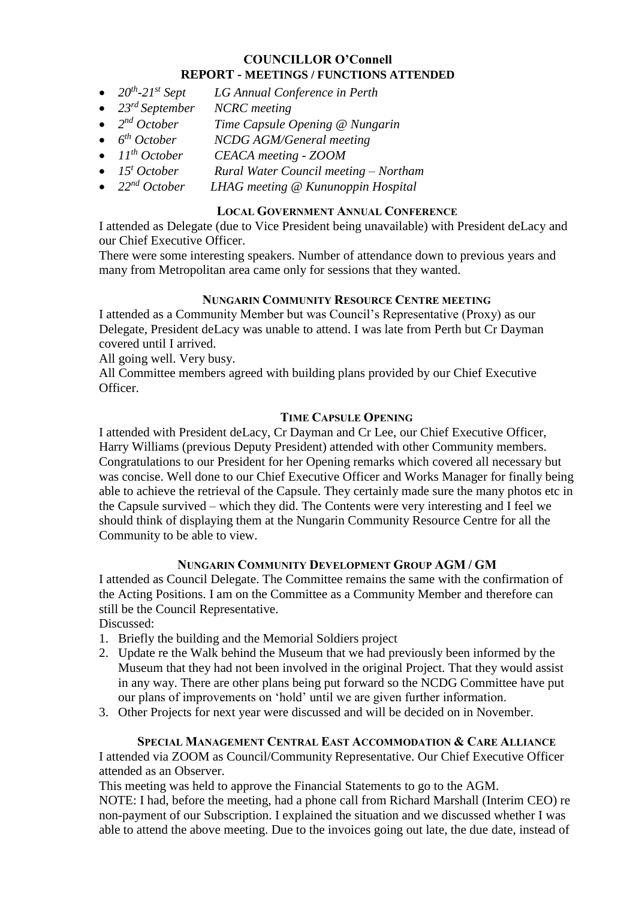#### **COUNCILLOR O'Connell REPORT - MEETINGS / FUNCTIONS ATTENDED**

- $\bullet$  20<sup>th</sup> *-21st Sept LG Annual Conference in Perth*
- *23 rd September NCRC meeting*
- $2^{nd}$  *October Time Capsule Opening @ Nungarin*
- $\bullet$  *6<sup>th</sup> October*  $NCDG$  *AGM/General meeting*
- *11th October CEACA meeting - ZOOM*
- *15<sup>t</sup> October Rural Water Council meeting – Northam*
- *22nd October LHAG meeting @ Kununoppin Hospital*

# **LOCAL GOVERNMENT ANNUAL CONFERENCE**

I attended as Delegate (due to Vice President being unavailable) with President deLacy and our Chief Executive Officer.

There were some interesting speakers. Number of attendance down to previous years and many from Metropolitan area came only for sessions that they wanted.

# **NUNGARIN COMMUNITY RESOURCE CENTRE MEETING**

I attended as a Community Member but was Council's Representative (Proxy) as our Delegate, President deLacy was unable to attend. I was late from Perth but Cr Dayman covered until I arrived.

All going well. Very busy.

All Committee members agreed with building plans provided by our Chief Executive Officer.

# **TIME CAPSULE OPENING**

I attended with President deLacy, Cr Dayman and Cr Lee, our Chief Executive Officer, Harry Williams (previous Deputy President) attended with other Community members. Congratulations to our President for her Opening remarks which covered all necessary but was concise. Well done to our Chief Executive Officer and Works Manager for finally being able to achieve the retrieval of the Capsule. They certainly made sure the many photos etc in the Capsule survived – which they did. The Contents were very interesting and I feel we should think of displaying them at the Nungarin Community Resource Centre for all the Community to be able to view.

#### **NUNGARIN COMMUNITY DEVELOPMENT GROUP AGM / GM**

I attended as Council Delegate. The Committee remains the same with the confirmation of the Acting Positions. I am on the Committee as a Community Member and therefore can still be the Council Representative.

Discussed:

- 1. Briefly the building and the Memorial Soldiers project
- 2. Update re the Walk behind the Museum that we had previously been informed by the Museum that they had not been involved in the original Project. That they would assist in any way. There are other plans being put forward so the NCDG Committee have put our plans of improvements on 'hold' until we are given further information.
- 3. Other Projects for next year were discussed and will be decided on in November.

# **SPECIAL MANAGEMENT CENTRAL EAST ACCOMMODATION & CARE ALLIANCE** I attended via ZOOM as Council/Community Representative. Our Chief Executive Officer

attended as an Observer.

This meeting was held to approve the Financial Statements to go to the AGM.

NOTE: I had, before the meeting, had a phone call from Richard Marshall (Interim CEO) re non-payment of our Subscription. I explained the situation and we discussed whether I was able to attend the above meeting. Due to the invoices going out late, the due date, instead of